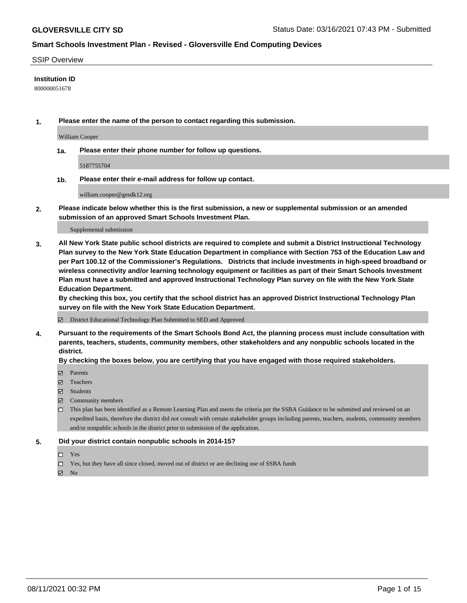#### SSIP Overview

### **Institution ID**

800000051678

**1. Please enter the name of the person to contact regarding this submission.**

William Cooper

**1a. Please enter their phone number for follow up questions.**

5187755704

**1b. Please enter their e-mail address for follow up contact.**

william.cooper@gesdk12.org

**2. Please indicate below whether this is the first submission, a new or supplemental submission or an amended submission of an approved Smart Schools Investment Plan.**

#### Supplemental submission

**3. All New York State public school districts are required to complete and submit a District Instructional Technology Plan survey to the New York State Education Department in compliance with Section 753 of the Education Law and per Part 100.12 of the Commissioner's Regulations. Districts that include investments in high-speed broadband or wireless connectivity and/or learning technology equipment or facilities as part of their Smart Schools Investment Plan must have a submitted and approved Instructional Technology Plan survey on file with the New York State Education Department.** 

**By checking this box, you certify that the school district has an approved District Instructional Technology Plan survey on file with the New York State Education Department.**

District Educational Technology Plan Submitted to SED and Approved

**4. Pursuant to the requirements of the Smart Schools Bond Act, the planning process must include consultation with parents, teachers, students, community members, other stakeholders and any nonpublic schools located in the district.** 

### **By checking the boxes below, you are certifying that you have engaged with those required stakeholders.**

- **Parents**
- Teachers
- Students
- $\boxtimes$  Community members
- This plan has been identified as a Remote Learning Plan and meets the criteria per the SSBA Guidance to be submitted and reviewed on an expedited basis, therefore the district did not consult with certain stakeholder groups including parents, teachers, students, community members and/or nonpublic schools in the district prior to submission of the application.
- **5. Did your district contain nonpublic schools in 2014-15?**
	- □ Yes
	- □ Yes, but they have all since closed, moved out of district or are declining use of SSBA funds

 $M$  No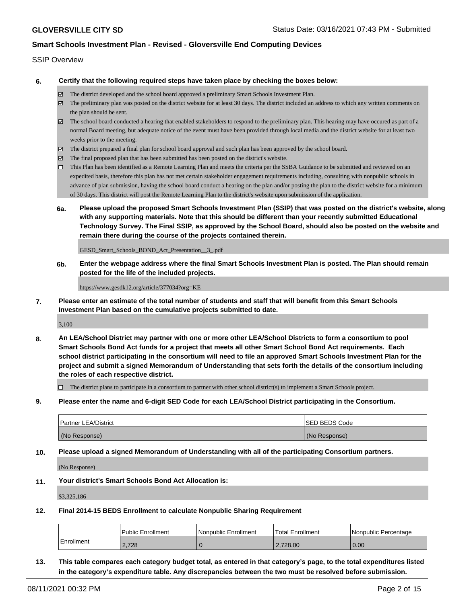#### SSIP Overview

**6. Certify that the following required steps have taken place by checking the boxes below:**

- The district developed and the school board approved a preliminary Smart Schools Investment Plan.
- The preliminary plan was posted on the district website for at least 30 days. The district included an address to which any written comments on the plan should be sent.
- The school board conducted a hearing that enabled stakeholders to respond to the preliminary plan. This hearing may have occured as part of a normal Board meeting, but adequate notice of the event must have been provided through local media and the district website for at least two weeks prior to the meeting.
- The district prepared a final plan for school board approval and such plan has been approved by the school board.
- $\boxtimes$  The final proposed plan that has been submitted has been posted on the district's website.
- This Plan has been identified as a Remote Learning Plan and meets the criteria per the SSBA Guidance to be submitted and reviewed on an expedited basis, therefore this plan has not met certain stakeholder engagement requirements including, consulting with nonpublic schools in advance of plan submission, having the school board conduct a hearing on the plan and/or posting the plan to the district website for a minimum of 30 days. This district will post the Remote Learning Plan to the district's website upon submission of the application.
- **6a. Please upload the proposed Smart Schools Investment Plan (SSIP) that was posted on the district's website, along with any supporting materials. Note that this should be different than your recently submitted Educational Technology Survey. The Final SSIP, as approved by the School Board, should also be posted on the website and remain there during the course of the projects contained therein.**

GESD\_Smart\_Schools\_BOND\_Act\_Presentation\_\_3\_.pdf

**6b. Enter the webpage address where the final Smart Schools Investment Plan is posted. The Plan should remain posted for the life of the included projects.**

https://www.gesdk12.org/article/377034?org=KE

**7. Please enter an estimate of the total number of students and staff that will benefit from this Smart Schools Investment Plan based on the cumulative projects submitted to date.**

3,100

**8. An LEA/School District may partner with one or more other LEA/School Districts to form a consortium to pool Smart Schools Bond Act funds for a project that meets all other Smart School Bond Act requirements. Each school district participating in the consortium will need to file an approved Smart Schools Investment Plan for the project and submit a signed Memorandum of Understanding that sets forth the details of the consortium including the roles of each respective district.**

 $\Box$  The district plans to participate in a consortium to partner with other school district(s) to implement a Smart Schools project.

**9. Please enter the name and 6-digit SED Code for each LEA/School District participating in the Consortium.**

| <b>Partner LEA/District</b> | <b>ISED BEDS Code</b> |
|-----------------------------|-----------------------|
| (No Response)               | (No Response)         |

**10. Please upload a signed Memorandum of Understanding with all of the participating Consortium partners.**

(No Response)

**11. Your district's Smart Schools Bond Act Allocation is:**

\$3,325,186

**12. Final 2014-15 BEDS Enrollment to calculate Nonpublic Sharing Requirement**

|              | Public Enrollment | Nonpublic Enrollment | Total Enrollment | l Nonpublic Percentage |
|--------------|-------------------|----------------------|------------------|------------------------|
| l Enrollment | 2.728             |                      | 2.728.00         | 0.00                   |

**13. This table compares each category budget total, as entered in that category's page, to the total expenditures listed in the category's expenditure table. Any discrepancies between the two must be resolved before submission.**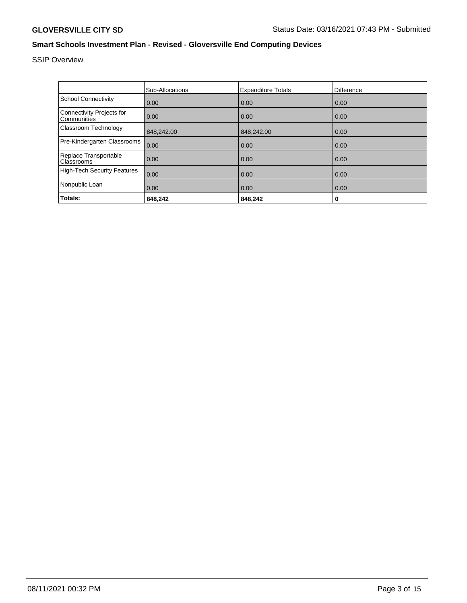# SSIP Overview

|                                                 | <b>Sub-Allocations</b> | <b>Expenditure Totals</b> | Difference |
|-------------------------------------------------|------------------------|---------------------------|------------|
| <b>School Connectivity</b>                      | 0.00                   | 0.00                      | 0.00       |
| <b>Connectivity Projects for</b><br>Communities | 0.00                   | 0.00                      | 0.00       |
| Classroom Technology                            | 848,242.00             | 848,242.00                | 0.00       |
| Pre-Kindergarten Classrooms                     | 0.00                   | 0.00                      | 0.00       |
| Replace Transportable<br>Classrooms             | 0.00                   | 0.00                      | 0.00       |
| <b>High-Tech Security Features</b>              | 0.00                   | 0.00                      | 0.00       |
| Nonpublic Loan                                  | 0.00                   | 0.00                      | 0.00       |
| Totals:                                         | 848,242                | 848,242                   | 0          |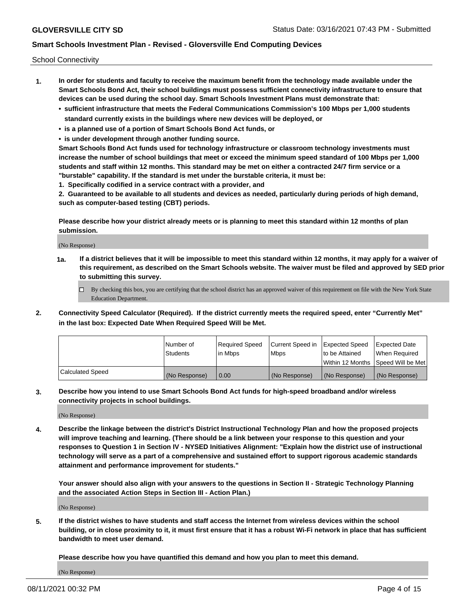School Connectivity

- **1. In order for students and faculty to receive the maximum benefit from the technology made available under the Smart Schools Bond Act, their school buildings must possess sufficient connectivity infrastructure to ensure that devices can be used during the school day. Smart Schools Investment Plans must demonstrate that:**
	- **• sufficient infrastructure that meets the Federal Communications Commission's 100 Mbps per 1,000 students standard currently exists in the buildings where new devices will be deployed, or**
	- **• is a planned use of a portion of Smart Schools Bond Act funds, or**
	- **• is under development through another funding source.**

**Smart Schools Bond Act funds used for technology infrastructure or classroom technology investments must increase the number of school buildings that meet or exceed the minimum speed standard of 100 Mbps per 1,000 students and staff within 12 months. This standard may be met on either a contracted 24/7 firm service or a "burstable" capability. If the standard is met under the burstable criteria, it must be:**

**1. Specifically codified in a service contract with a provider, and**

**2. Guaranteed to be available to all students and devices as needed, particularly during periods of high demand, such as computer-based testing (CBT) periods.**

**Please describe how your district already meets or is planning to meet this standard within 12 months of plan submission.**

(No Response)

**1a. If a district believes that it will be impossible to meet this standard within 12 months, it may apply for a waiver of this requirement, as described on the Smart Schools website. The waiver must be filed and approved by SED prior to submitting this survey.**

 $\Box$  By checking this box, you are certifying that the school district has an approved waiver of this requirement on file with the New York State Education Department.

**2. Connectivity Speed Calculator (Required). If the district currently meets the required speed, enter "Currently Met" in the last box: Expected Date When Required Speed Will be Met.**

|                  | l Number of     | Required Speed | Current Speed in | Expected Speed | Expected Date                        |
|------------------|-----------------|----------------|------------------|----------------|--------------------------------------|
|                  | <b>Students</b> | In Mbps        | <b>Mbps</b>      | to be Attained | When Required                        |
|                  |                 |                |                  |                | Within 12 Months 1Speed Will be Met1 |
| Calculated Speed | (No Response)   | 0.00           | (No Response)    | (No Response)  | l (No Response)                      |

**3. Describe how you intend to use Smart Schools Bond Act funds for high-speed broadband and/or wireless connectivity projects in school buildings.**

(No Response)

**4. Describe the linkage between the district's District Instructional Technology Plan and how the proposed projects will improve teaching and learning. (There should be a link between your response to this question and your responses to Question 1 in Section IV - NYSED Initiatives Alignment: "Explain how the district use of instructional technology will serve as a part of a comprehensive and sustained effort to support rigorous academic standards attainment and performance improvement for students."** 

**Your answer should also align with your answers to the questions in Section II - Strategic Technology Planning and the associated Action Steps in Section III - Action Plan.)**

(No Response)

**5. If the district wishes to have students and staff access the Internet from wireless devices within the school building, or in close proximity to it, it must first ensure that it has a robust Wi-Fi network in place that has sufficient bandwidth to meet user demand.**

**Please describe how you have quantified this demand and how you plan to meet this demand.**

(No Response)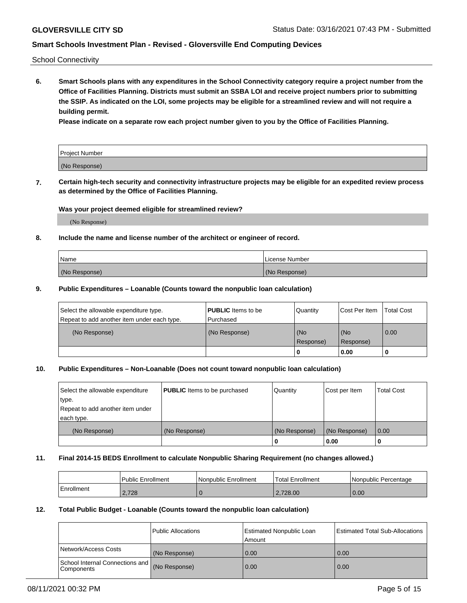School Connectivity

**6. Smart Schools plans with any expenditures in the School Connectivity category require a project number from the Office of Facilities Planning. Districts must submit an SSBA LOI and receive project numbers prior to submitting the SSIP. As indicated on the LOI, some projects may be eligible for a streamlined review and will not require a building permit.**

**Please indicate on a separate row each project number given to you by the Office of Facilities Planning.**

| Project Number |  |
|----------------|--|
| (No Response)  |  |

**7. Certain high-tech security and connectivity infrastructure projects may be eligible for an expedited review process as determined by the Office of Facilities Planning.**

### **Was your project deemed eligible for streamlined review?**

(No Response)

### **8. Include the name and license number of the architect or engineer of record.**

| Name          | License Number |
|---------------|----------------|
| (No Response) | (No Response)  |

### **9. Public Expenditures – Loanable (Counts toward the nonpublic loan calculation)**

| Select the allowable expenditure type.<br>Repeat to add another item under each type. | <b>PUBLIC</b> Items to be<br>l Purchased | Quantity           | Cost Per Item    | <b>Total Cost</b> |
|---------------------------------------------------------------------------------------|------------------------------------------|--------------------|------------------|-------------------|
| (No Response)                                                                         | (No Response)                            | l (No<br>Response) | (No<br>Response) | $\overline{0.00}$ |
|                                                                                       |                                          | 0                  | 0.00             |                   |

## **10. Public Expenditures – Non-Loanable (Does not count toward nonpublic loan calculation)**

| Select the allowable expenditure<br>type.<br>Repeat to add another item under<br>each type. | <b>PUBLIC</b> Items to be purchased | Quantity      | Cost per Item | <b>Total Cost</b> |
|---------------------------------------------------------------------------------------------|-------------------------------------|---------------|---------------|-------------------|
| (No Response)                                                                               | (No Response)                       | (No Response) | (No Response) | 0.00              |
|                                                                                             |                                     |               | 0.00          |                   |

#### **11. Final 2014-15 BEDS Enrollment to calculate Nonpublic Sharing Requirement (no changes allowed.)**

|            | Public Enrollment | l Nonpublic Enrollment | <b>Total Enrollment</b> | Nonpublic Percentage |
|------------|-------------------|------------------------|-------------------------|----------------------|
| Enrollment | 2.728             |                        | 2.728.00                | 0.00                 |

### **12. Total Public Budget - Loanable (Counts toward the nonpublic loan calculation)**

|                                                      | Public Allocations | <b>Estimated Nonpublic Loan</b><br>Amount | Estimated Total Sub-Allocations |
|------------------------------------------------------|--------------------|-------------------------------------------|---------------------------------|
| Network/Access Costs                                 | (No Response)      | 0.00                                      | 0.00                            |
| School Internal Connections and<br><b>Components</b> | (No Response)      | 0.00                                      | 0.00                            |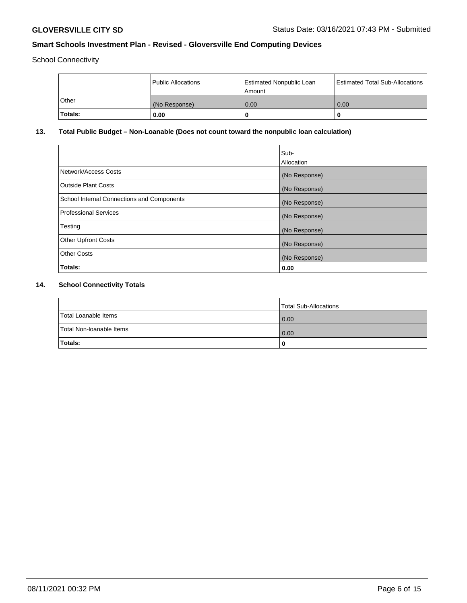School Connectivity

|         | Public Allocations | <b>Estimated Nonpublic Loan</b><br>Amount | <b>Estimated Total Sub-Allocations</b> |
|---------|--------------------|-------------------------------------------|----------------------------------------|
| ⊺Other  | (No Response)      | 0.00                                      | 0.00                                   |
| Totals: | 0.00               |                                           | 0                                      |

# **13. Total Public Budget – Non-Loanable (Does not count toward the nonpublic loan calculation)**

| Sub-<br>Allocation |
|--------------------|
| (No Response)      |
| (No Response)      |
| (No Response)      |
| (No Response)      |
| (No Response)      |
| (No Response)      |
| (No Response)      |
| 0.00               |
|                    |

# **14. School Connectivity Totals**

|                          | Total Sub-Allocations |
|--------------------------|-----------------------|
| Total Loanable Items     | 0.00                  |
| Total Non-Ioanable Items | 0.00                  |
| Totals:                  | 0                     |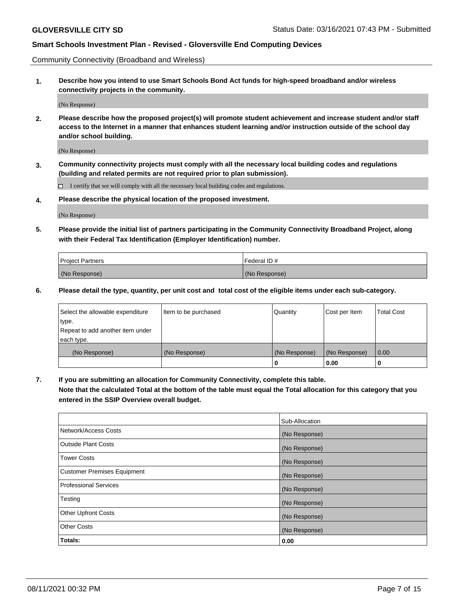Community Connectivity (Broadband and Wireless)

**1. Describe how you intend to use Smart Schools Bond Act funds for high-speed broadband and/or wireless connectivity projects in the community.**

(No Response)

**2. Please describe how the proposed project(s) will promote student achievement and increase student and/or staff access to the Internet in a manner that enhances student learning and/or instruction outside of the school day and/or school building.**

(No Response)

**3. Community connectivity projects must comply with all the necessary local building codes and regulations (building and related permits are not required prior to plan submission).**

 $\Box$  I certify that we will comply with all the necessary local building codes and regulations.

**4. Please describe the physical location of the proposed investment.**

(No Response)

**5. Please provide the initial list of partners participating in the Community Connectivity Broadband Project, along with their Federal Tax Identification (Employer Identification) number.**

| <b>Project Partners</b> | l Federal ID # |
|-------------------------|----------------|
| (No Response)           | (No Response)  |

**6. Please detail the type, quantity, per unit cost and total cost of the eligible items under each sub-category.**

| Select the allowable expenditure | Item to be purchased | Quantity      | Cost per Item | <b>Total Cost</b> |
|----------------------------------|----------------------|---------------|---------------|-------------------|
| type.                            |                      |               |               |                   |
| Repeat to add another item under |                      |               |               |                   |
| each type.                       |                      |               |               |                   |
| (No Response)                    | (No Response)        | (No Response) | (No Response) | 0.00              |
|                                  |                      | o             | 0.00          |                   |

**7. If you are submitting an allocation for Community Connectivity, complete this table.**

**Note that the calculated Total at the bottom of the table must equal the Total allocation for this category that you entered in the SSIP Overview overall budget.**

|                                    | Sub-Allocation |
|------------------------------------|----------------|
| Network/Access Costs               | (No Response)  |
| Outside Plant Costs                | (No Response)  |
| <b>Tower Costs</b>                 | (No Response)  |
| <b>Customer Premises Equipment</b> | (No Response)  |
| <b>Professional Services</b>       | (No Response)  |
| Testing                            | (No Response)  |
| <b>Other Upfront Costs</b>         | (No Response)  |
| <b>Other Costs</b>                 | (No Response)  |
| Totals:                            | 0.00           |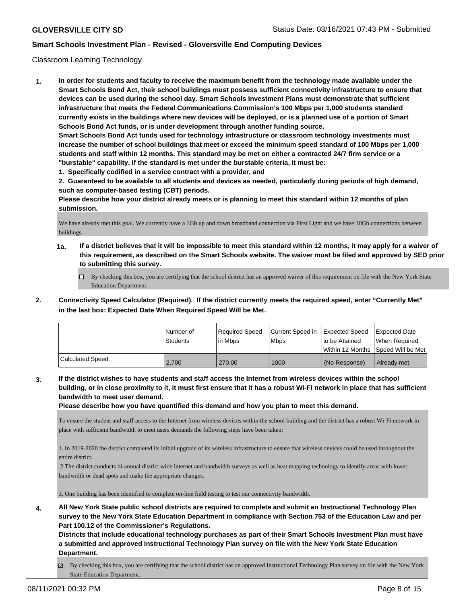### Classroom Learning Technology

**1. In order for students and faculty to receive the maximum benefit from the technology made available under the Smart Schools Bond Act, their school buildings must possess sufficient connectivity infrastructure to ensure that devices can be used during the school day. Smart Schools Investment Plans must demonstrate that sufficient infrastructure that meets the Federal Communications Commission's 100 Mbps per 1,000 students standard currently exists in the buildings where new devices will be deployed, or is a planned use of a portion of Smart Schools Bond Act funds, or is under development through another funding source. Smart Schools Bond Act funds used for technology infrastructure or classroom technology investments must increase the number of school buildings that meet or exceed the minimum speed standard of 100 Mbps per 1,000 students and staff within 12 months. This standard may be met on either a contracted 24/7 firm service or a "burstable" capability. If the standard is met under the burstable criteria, it must be:**

**1. Specifically codified in a service contract with a provider, and**

**2. Guaranteed to be available to all students and devices as needed, particularly during periods of high demand, such as computer-based testing (CBT) periods.**

**Please describe how your district already meets or is planning to meet this standard within 12 months of plan submission.**

We have already met this goal. We currently have a 1Gb up and down broadband connection via First Light and we have 10Gb connections between buildings.

- **1a. If a district believes that it will be impossible to meet this standard within 12 months, it may apply for a waiver of this requirement, as described on the Smart Schools website. The waiver must be filed and approved by SED prior to submitting this survey.**
	- By checking this box, you are certifying that the school district has an approved waiver of this requirement on file with the New York State Education Department.
- **2. Connectivity Speed Calculator (Required). If the district currently meets the required speed, enter "Currently Met" in the last box: Expected Date When Required Speed Will be Met.**

|                         | l Number of<br><b>Students</b> | Required Speed<br>l in Mbps | Current Speed in<br>l Mbps | <b>Expected Speed</b><br>to be Attained | <b>Expected Date</b><br>When Required<br> Within 12 Months  Speed Will be Met |
|-------------------------|--------------------------------|-----------------------------|----------------------------|-----------------------------------------|-------------------------------------------------------------------------------|
| <b>Calculated Speed</b> | 2.700                          | 270.00                      | 1000                       | l (No Response)                         | Already met.                                                                  |

**3. If the district wishes to have students and staff access the Internet from wireless devices within the school building, or in close proximity to it, it must first ensure that it has a robust Wi-Fi network in place that has sufficient bandwidth to meet user demand.**

**Please describe how you have quantified this demand and how you plan to meet this demand.**

To ensure the student and staff access to the Internet from wireless devices within the school building and the district has a robust Wi-Fi network in place with sufficient bandwidth to meet users demands the following steps have been taken:

1. In 2019-2020 the district completed its initial upgrade of its wireless infrastructure to ensure that wireless devices could be used throughout the entire district.

 2.The district conducts bi-annual district wide internet and bandwidth surveys as well as heat mapping technology to identify areas with lower bandwidth or dead spots and make the appropriate changes.

3. One building has been identified to complete on-line field testing to test our connectivity bandwidth.

**4. All New York State public school districts are required to complete and submit an Instructional Technology Plan survey to the New York State Education Department in compliance with Section 753 of the Education Law and per Part 100.12 of the Commissioner's Regulations.**

**Districts that include educational technology purchases as part of their Smart Schools Investment Plan must have a submitted and approved Instructional Technology Plan survey on file with the New York State Education Department.**

By checking this box, you are certifying that the school district has an approved Instructional Technology Plan survey on file with the New York State Education Department.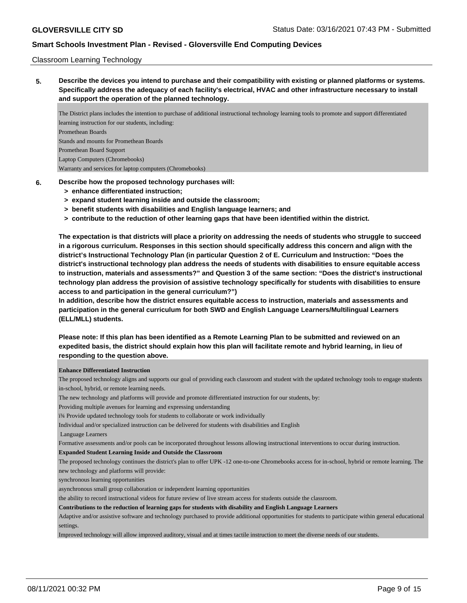### Classroom Learning Technology

**5. Describe the devices you intend to purchase and their compatibility with existing or planned platforms or systems. Specifically address the adequacy of each facility's electrical, HVAC and other infrastructure necessary to install and support the operation of the planned technology.**

The District plans includes the intention to purchase of additional instructional technology learning tools to promote and support differentiated learning instruction for our students, including: Promethean Boards Stands and mounts for Promethean Boards Promethean Board Support Laptop Computers (Chromebooks) Warranty and services for laptop computers (Chromebooks)

- **6. Describe how the proposed technology purchases will:**
	- **> enhance differentiated instruction;**
	- **> expand student learning inside and outside the classroom;**
	- **> benefit students with disabilities and English language learners; and**
	- **> contribute to the reduction of other learning gaps that have been identified within the district.**

**The expectation is that districts will place a priority on addressing the needs of students who struggle to succeed in a rigorous curriculum. Responses in this section should specifically address this concern and align with the district's Instructional Technology Plan (in particular Question 2 of E. Curriculum and Instruction: "Does the district's instructional technology plan address the needs of students with disabilities to ensure equitable access to instruction, materials and assessments?" and Question 3 of the same section: "Does the district's instructional technology plan address the provision of assistive technology specifically for students with disabilities to ensure access to and participation in the general curriculum?")**

**In addition, describe how the district ensures equitable access to instruction, materials and assessments and participation in the general curriculum for both SWD and English Language Learners/Multilingual Learners (ELL/MLL) students.**

**Please note: If this plan has been identified as a Remote Learning Plan to be submitted and reviewed on an expedited basis, the district should explain how this plan will facilitate remote and hybrid learning, in lieu of responding to the question above.**

#### **Enhance Differentiated Instruction**

The proposed technology aligns and supports our goal of providing each classroom and student with the updated technology tools to engage students in-school, hybrid, or remote learning needs.

The new technology and platforms will provide and promote differentiated instruction for our students, by:

Providing multiple avenues for learning and expressing understanding

ï¾ Provide updated technology tools for students to collaborate or work individually

Individual and/or specialized instruction can be delivered for students with disabilities and English

Language Learners

Formative assessments and/or pools can be incorporated throughout lessons allowing instructional interventions to occur during instruction.

#### **Expanded Student Learning Inside and Outside the Classroom**

The proposed technology continues the district's plan to offer UPK -12 one-to-one Chromebooks access for in-school, hybrid or remote learning. The new technology and platforms will provide:

synchronous learning opportunities

asynchronous small group collaboration or independent learning opportunities

the ability to record instructional videos for future review of live stream access for students outside the classroom.

**Contributions to the reduction of learning gaps for students with disability and English Language Learners**

Adaptive and/or assistive software and technology purchased to provide additional opportunities for students to participate within general educational settings.

Improved technology will allow improved auditory, visual and at times tactile instruction to meet the diverse needs of our students.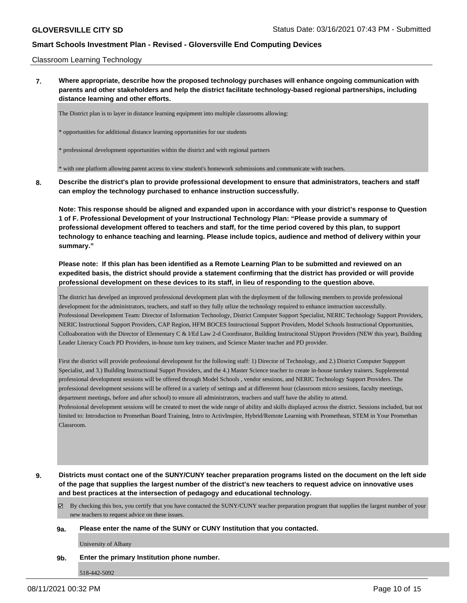Classroom Learning Technology

**7. Where appropriate, describe how the proposed technology purchases will enhance ongoing communication with parents and other stakeholders and help the district facilitate technology-based regional partnerships, including distance learning and other efforts.**

The District plan is to layer in distance learning equipment into multiple classrooms allowing:

\* opportunities for additional distance learning opportunities for our students

\* professional development opportunities within the district and with regional partners

\* with one platform allowing parent access to view student's homework submissions and communicate with teachers.

**8. Describe the district's plan to provide professional development to ensure that administrators, teachers and staff can employ the technology purchased to enhance instruction successfully.**

**Note: This response should be aligned and expanded upon in accordance with your district's response to Question 1 of F. Professional Development of your Instructional Technology Plan: "Please provide a summary of professional development offered to teachers and staff, for the time period covered by this plan, to support technology to enhance teaching and learning. Please include topics, audience and method of delivery within your summary."**

## **Please note: If this plan has been identified as a Remote Learning Plan to be submitted and reviewed on an expedited basis, the district should provide a statement confirming that the district has provided or will provide professional development on these devices to its staff, in lieu of responding to the question above.**

The district has develped an improved professional development plan with the deployment of the following members to provide professional development for the administrators, teachers, and staff so they fully utlize the technology required to enhance instruction successfully. Professional Development Team: Director of Information Technology, District Computer Support Specialist, NERIC Technology Support Providers, NERIC Instructional Support Providers, CAP Region, HFM BOCES Instructional Support Providers, Model Schools Instructional Opportunities, Colloaboration with the Director of Elementary C & I/Ed Law 2-d Coordinator, Building Instrucitonal SUpport Providers (NEW this year), Building Leader Literacy Coach PD Providers, in-house turn key trainers, and Science Master teacher and PD provider.

First the district will provide professional development for the following staff: 1) Director of Technology, and 2.) District Computer Suppport Specialist, and 3.) Building Instructional Supprt Providers, and the 4.) Master Science teacher to create in-house turnkey trainers. Supplemental professional development sessions will be offered through Model Schools , vendor sessions, and NERIC Technology Support Providers. The professional development sessions will be offered in a variety of settings and at differerent hour (classroom micro sessions, faculty meetings, department meetings, before and after school) to ensure all administrators, teachers and staff have the ability to attend.

Professional development sessions will be created to meet the wide range of ability and skills displayed across the district. Sessions included, but not limited to: Introduction to Promethan Board Training, Intro to ActivInspire, Hybrid/Remote Learning with Promethean, STEM in Your Promethan Classroom.

**9. Districts must contact one of the SUNY/CUNY teacher preparation programs listed on the document on the left side of the page that supplies the largest number of the district's new teachers to request advice on innovative uses and best practices at the intersection of pedagogy and educational technology.**

 $\boxtimes$  By checking this box, you certify that you have contacted the SUNY/CUNY teacher preparation program that supplies the largest number of your new teachers to request advice on these issues.

#### **9a. Please enter the name of the SUNY or CUNY Institution that you contacted.**

University of Albany

### **9b. Enter the primary Institution phone number.**

518-442-5092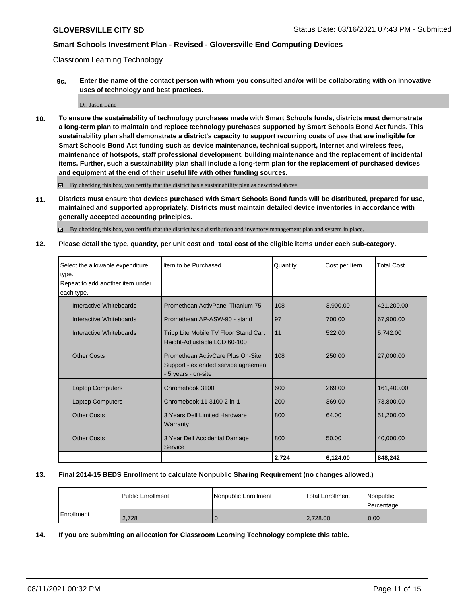Classroom Learning Technology

**9c. Enter the name of the contact person with whom you consulted and/or will be collaborating with on innovative uses of technology and best practices.**

Dr. Jason Lane

**10. To ensure the sustainability of technology purchases made with Smart Schools funds, districts must demonstrate a long-term plan to maintain and replace technology purchases supported by Smart Schools Bond Act funds. This sustainability plan shall demonstrate a district's capacity to support recurring costs of use that are ineligible for Smart Schools Bond Act funding such as device maintenance, technical support, Internet and wireless fees, maintenance of hotspots, staff professional development, building maintenance and the replacement of incidental items. Further, such a sustainability plan shall include a long-term plan for the replacement of purchased devices and equipment at the end of their useful life with other funding sources.**

 $\boxtimes$  By checking this box, you certify that the district has a sustainability plan as described above.

**11. Districts must ensure that devices purchased with Smart Schools Bond funds will be distributed, prepared for use, maintained and supported appropriately. Districts must maintain detailed device inventories in accordance with generally accepted accounting principles.**

By checking this box, you certify that the district has a distribution and inventory management plan and system in place.

**12. Please detail the type, quantity, per unit cost and total cost of the eligible items under each sub-category.**

| Select the allowable expenditure | Item to be Purchased                                                                             | Quantity | Cost per Item | <b>Total Cost</b> |
|----------------------------------|--------------------------------------------------------------------------------------------------|----------|---------------|-------------------|
| type.                            |                                                                                                  |          |               |                   |
| Repeat to add another item under |                                                                                                  |          |               |                   |
| each type.                       |                                                                                                  |          |               |                   |
| Interactive Whiteboards          | Promethean ActivPanel Titanium 75                                                                | 108      | 3.900.00      | 421,200.00        |
| Interactive Whiteboards          | Promethean AP-ASW-90 - stand                                                                     | 97       | 700.00        | 67,900.00         |
| Interactive Whiteboards          | Tripp Lite Mobile TV Floor Stand Cart<br>Height-Adjustable LCD 60-100                            | 11       | 522.00        | 5,742.00          |
| <b>Other Costs</b>               | Promethean ActivCare Plus On-Site<br>Support - extended service agreement<br>- 5 years - on-site | 108      | 250.00        | 27,000.00         |
| <b>Laptop Computers</b>          | Chromebook 3100                                                                                  | 600      | 269.00        | 161,400.00        |
| <b>Laptop Computers</b>          | Chromebook 11 3100 2-in-1                                                                        | 200      | 369.00        | 73,800.00         |
| <b>Other Costs</b>               | 3 Years Dell Limited Hardware<br>Warranty                                                        | 800      | 64.00         | 51,200.00         |
| <b>Other Costs</b>               | 3 Year Dell Accidental Damage<br>Service                                                         | 800      | 50.00         | 40,000.00         |
|                                  |                                                                                                  | 2,724    | 6.124.00      | 848.242           |

### **13. Final 2014-15 BEDS Enrollment to calculate Nonpublic Sharing Requirement (no changes allowed.)**

|            | <b>Public Enrollment</b> | Nonpublic Enrollment | <b>Total Enrollment</b> | Nonpublic<br>l Percentage |
|------------|--------------------------|----------------------|-------------------------|---------------------------|
| Enrollment | 2,728                    |                      | 2,728.00                | 0.00                      |

**14. If you are submitting an allocation for Classroom Learning Technology complete this table.**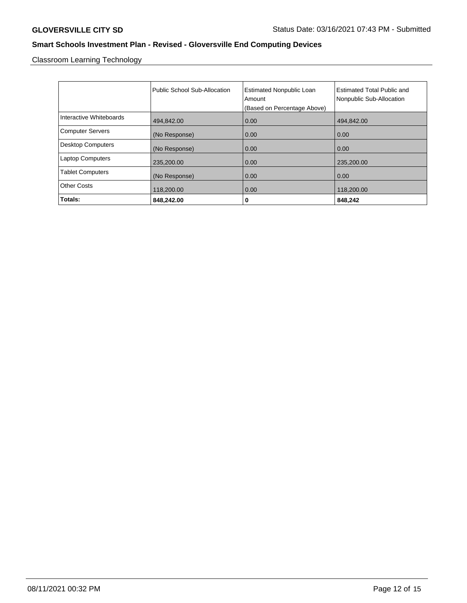Classroom Learning Technology

|                          | Public School Sub-Allocation | <b>Estimated Nonpublic Loan</b><br>Amount<br>(Based on Percentage Above) | <b>Estimated Total Public and</b><br>Nonpublic Sub-Allocation |
|--------------------------|------------------------------|--------------------------------------------------------------------------|---------------------------------------------------------------|
| Interactive Whiteboards  | 494,842.00                   | 0.00                                                                     | 494,842.00                                                    |
| <b>Computer Servers</b>  | (No Response)                | 0.00                                                                     | 0.00                                                          |
| <b>Desktop Computers</b> | (No Response)                | 0.00                                                                     | 0.00                                                          |
| <b>Laptop Computers</b>  | 235,200.00                   | 0.00                                                                     | 235,200.00                                                    |
| <b>Tablet Computers</b>  | (No Response)                | 0.00                                                                     | 0.00                                                          |
| <b>Other Costs</b>       | 118,200.00                   | 0.00                                                                     | 118,200.00                                                    |
| Totals:                  | 848,242.00                   | 0                                                                        | 848,242                                                       |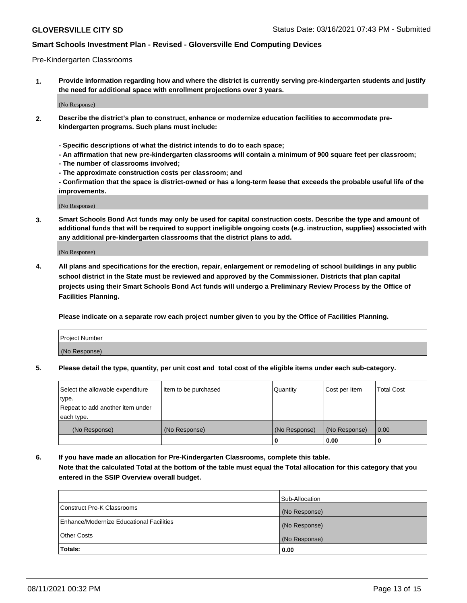### Pre-Kindergarten Classrooms

**1. Provide information regarding how and where the district is currently serving pre-kindergarten students and justify the need for additional space with enrollment projections over 3 years.**

(No Response)

- **2. Describe the district's plan to construct, enhance or modernize education facilities to accommodate prekindergarten programs. Such plans must include:**
	- **Specific descriptions of what the district intends to do to each space;**
	- **An affirmation that new pre-kindergarten classrooms will contain a minimum of 900 square feet per classroom;**
	- **The number of classrooms involved;**
	- **The approximate construction costs per classroom; and**
	- **Confirmation that the space is district-owned or has a long-term lease that exceeds the probable useful life of the improvements.**

(No Response)

**3. Smart Schools Bond Act funds may only be used for capital construction costs. Describe the type and amount of additional funds that will be required to support ineligible ongoing costs (e.g. instruction, supplies) associated with any additional pre-kindergarten classrooms that the district plans to add.**

(No Response)

**4. All plans and specifications for the erection, repair, enlargement or remodeling of school buildings in any public school district in the State must be reviewed and approved by the Commissioner. Districts that plan capital projects using their Smart Schools Bond Act funds will undergo a Preliminary Review Process by the Office of Facilities Planning.**

**Please indicate on a separate row each project number given to you by the Office of Facilities Planning.**

| Project Number |  |
|----------------|--|
| (No Response)  |  |
|                |  |

**5. Please detail the type, quantity, per unit cost and total cost of the eligible items under each sub-category.**

| Select the allowable expenditure | Item to be purchased | Quantity      | Cost per Item | <b>Total Cost</b> |
|----------------------------------|----------------------|---------------|---------------|-------------------|
| type.                            |                      |               |               |                   |
| Repeat to add another item under |                      |               |               |                   |
| each type.                       |                      |               |               |                   |
| (No Response)                    | (No Response)        | (No Response) | (No Response) | 0.00              |
|                                  |                      | U             | 0.00          |                   |

**6. If you have made an allocation for Pre-Kindergarten Classrooms, complete this table. Note that the calculated Total at the bottom of the table must equal the Total allocation for this category that you entered in the SSIP Overview overall budget.**

|                                          | Sub-Allocation |
|------------------------------------------|----------------|
| Construct Pre-K Classrooms               | (No Response)  |
| Enhance/Modernize Educational Facilities | (No Response)  |
| <b>Other Costs</b>                       | (No Response)  |
| Totals:                                  | 0.00           |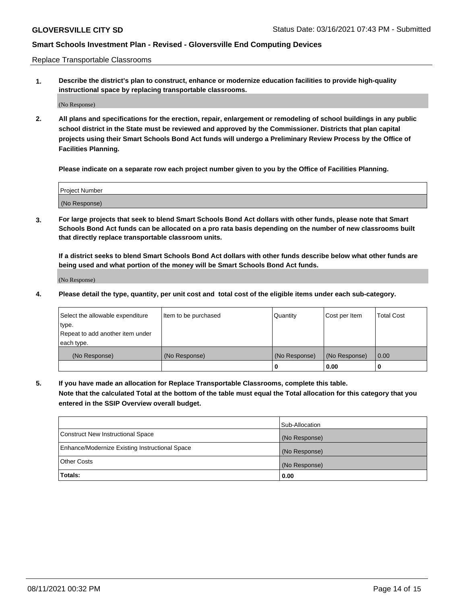Replace Transportable Classrooms

**1. Describe the district's plan to construct, enhance or modernize education facilities to provide high-quality instructional space by replacing transportable classrooms.**

(No Response)

**2. All plans and specifications for the erection, repair, enlargement or remodeling of school buildings in any public school district in the State must be reviewed and approved by the Commissioner. Districts that plan capital projects using their Smart Schools Bond Act funds will undergo a Preliminary Review Process by the Office of Facilities Planning.**

**Please indicate on a separate row each project number given to you by the Office of Facilities Planning.**

| Project Number |  |
|----------------|--|
|                |  |
|                |  |
|                |  |
| (No Response)  |  |
|                |  |
|                |  |

**3. For large projects that seek to blend Smart Schools Bond Act dollars with other funds, please note that Smart Schools Bond Act funds can be allocated on a pro rata basis depending on the number of new classrooms built that directly replace transportable classroom units.**

**If a district seeks to blend Smart Schools Bond Act dollars with other funds describe below what other funds are being used and what portion of the money will be Smart Schools Bond Act funds.**

(No Response)

**4. Please detail the type, quantity, per unit cost and total cost of the eligible items under each sub-category.**

| Select the allowable expenditure | Item to be purchased | Quantity      | Cost per Item | Total Cost |
|----------------------------------|----------------------|---------------|---------------|------------|
| ∣type.                           |                      |               |               |            |
| Repeat to add another item under |                      |               |               |            |
| each type.                       |                      |               |               |            |
| (No Response)                    | (No Response)        | (No Response) | (No Response) | 0.00       |
|                                  |                      | u             | 0.00          |            |

**5. If you have made an allocation for Replace Transportable Classrooms, complete this table. Note that the calculated Total at the bottom of the table must equal the Total allocation for this category that you entered in the SSIP Overview overall budget.**

|                                                | Sub-Allocation |
|------------------------------------------------|----------------|
| Construct New Instructional Space              | (No Response)  |
| Enhance/Modernize Existing Instructional Space | (No Response)  |
| <b>Other Costs</b>                             | (No Response)  |
| Totals:                                        | 0.00           |